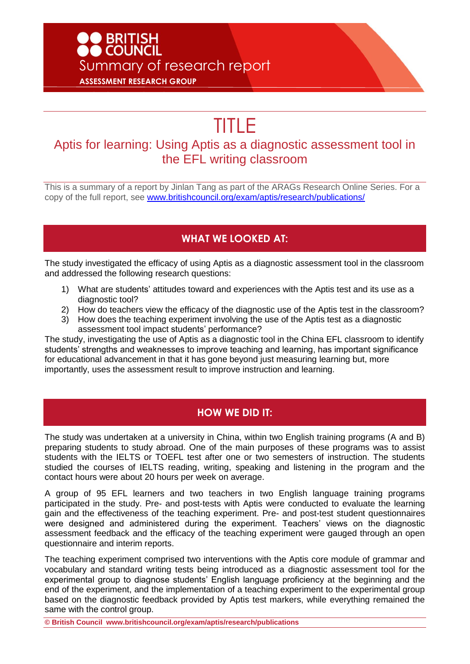## **O BRITISH<br>DO COUNCIL** Summary of research report **ASSESSMENT RESEARCH GROUP**

# TITLE

### Aptis for learning: Using Aptis as a diagnostic assessment tool in the EFL writing classroom

This is a summary of a report by Jinlan Tang as part of the ARAGs Research Online Series. For a copy of the full report, see [www.britishcouncil.org/exam/aptis/research/publications/](http://www.britishcouncil.org/exam/aptis/research/publications/)

#### **WHAT WE LOOKED AT:**

The study investigated the efficacy of using Aptis as a diagnostic assessment tool in the classroom and addressed the following research questions:

- 1) What are students' attitudes toward and experiences with the Aptis test and its use as a diagnostic tool?
- 2) How do teachers view the efficacy of the diagnostic use of the Aptis test in the classroom?
- 3) How does the teaching experiment involving the use of the Aptis test as a diagnostic assessment tool impact students' performance?

The study, investigating the use of Aptis as a diagnostic tool in the China EFL classroom to identify students' strengths and weaknesses to improve teaching and learning, has important significance for educational advancement in that it has gone beyond just measuring learning but, more importantly, uses the assessment result to improve instruction and learning.

#### **HOW WE DID IT:**

The study was undertaken at a university in China, within two English training programs (A and B) preparing students to study abroad. One of the main purposes of these programs was to assist students with the IELTS or TOEFL test after one or two semesters of instruction. The students studied the courses of IELTS reading, writing, speaking and listening in the program and the contact hours were about 20 hours per week on average.

A group of 95 EFL learners and two teachers in two English language training programs participated in the study. Pre- and post-tests with Aptis were conducted to evaluate the learning gain and the effectiveness of the teaching experiment. Pre- and post-test student questionnaires were designed and administered during the experiment. Teachers' views on the diagnostic assessment feedback and the efficacy of the teaching experiment were gauged through an open questionnaire and interim reports.

The teaching experiment comprised two interventions with the Aptis core module of grammar and vocabulary and standard writing tests being introduced as a diagnostic assessment tool for the experimental group to diagnose students' English language proficiency at the beginning and the end of the experiment, and the implementation of a teaching experiment to the experimental group based on the diagnostic feedback provided by Aptis test markers, while everything remained the same with the control group.